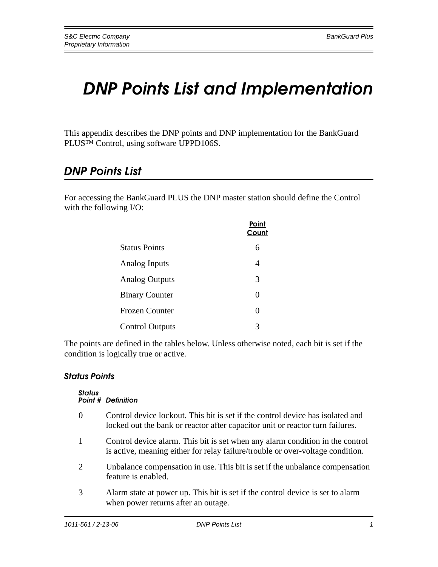# *DNP Points List and Implementation*

This appendix describes the DNP points and DNP implementation for the BankGuard PLUS™ Control, using software UPPD106S.

# *DNP Points List*

For accessing the BankGuard PLUS the DNP master station should define the Control with the following I/O:

|                        | Point<br>Count |
|------------------------|----------------|
| <b>Status Points</b>   | 6              |
| Analog Inputs          | 4              |
| <b>Analog Outputs</b>  | 3              |
| <b>Binary Counter</b>  | 0              |
| <b>Frozen Counter</b>  | 0              |
| <b>Control Outputs</b> | 3              |

The points are defined in the tables below. Unless otherwise noted, each bit is set if the condition is logically true or active.

## *Status Points*

#### *Status Point # Definition*

- 0 Control device lockout. This bit is set if the control device has isolated and locked out the bank or reactor after capacitor unit or reactor turn failures.
- 1 Control device alarm. This bit is set when any alarm condition in the control is active, meaning either for relay failure/trouble or over-voltage condition.
- 2 Unbalance compensation in use. This bit is set if the unbalance compensation feature is enabled.
- 3 Alarm state at power up. This bit is set if the control device is set to alarm when power returns after an outage.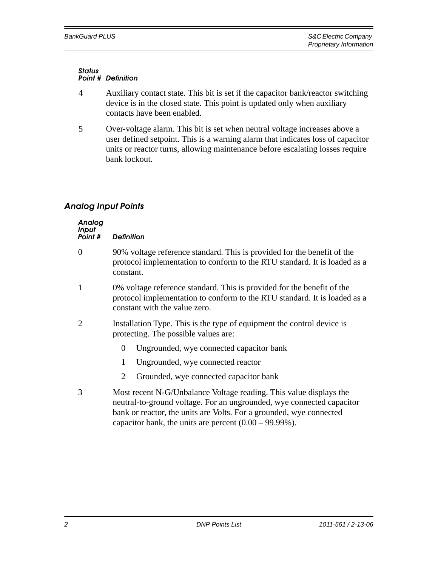#### *Status Point # Definition*

- 4 Auxiliary contact state. This bit is set if the capacitor bank/reactor switching device is in the closed state. This point is updated only when auxiliary contacts have been enabled.
- 5 Over-voltage alarm. This bit is set when neutral voltage increases above a user defined setpoint. This is a warning alarm that indicates loss of capacitor units or reactor turns, allowing maintenance before escalating losses require bank lockout.

# *Analog Input Points*

| Analog<br><b>Input</b><br>Point # | <b>Definition</b>                                                                                                                                                                                                                                                                |  |  |  |
|-----------------------------------|----------------------------------------------------------------------------------------------------------------------------------------------------------------------------------------------------------------------------------------------------------------------------------|--|--|--|
| $\Omega$                          | 90% voltage reference standard. This is provided for the benefit of the<br>protocol implementation to conform to the RTU standard. It is loaded as a<br>constant.                                                                                                                |  |  |  |
| 1                                 | 0% voltage reference standard. This is provided for the benefit of the<br>protocol implementation to conform to the RTU standard. It is loaded as a<br>constant with the value zero.                                                                                             |  |  |  |
| $\mathcal{D}_{\cdot}$             | Installation Type. This is the type of equipment the control device is<br>protecting. The possible values are:                                                                                                                                                                   |  |  |  |
|                                   | $\overline{0}$<br>Ungrounded, wye connected capacitor bank                                                                                                                                                                                                                       |  |  |  |
|                                   | Ungrounded, wye connected reactor<br>1                                                                                                                                                                                                                                           |  |  |  |
|                                   | 2<br>Grounded, wye connected capacitor bank                                                                                                                                                                                                                                      |  |  |  |
| 3                                 | Most recent N-G/Unbalance Voltage reading. This value displays the<br>neutral-to-ground voltage. For an ungrounded, wye connected capacitor<br>bank or reactor, the units are Volts. For a grounded, wye connected<br>capacitor bank, the units are percent $(0.00 - 99.99\%)$ . |  |  |  |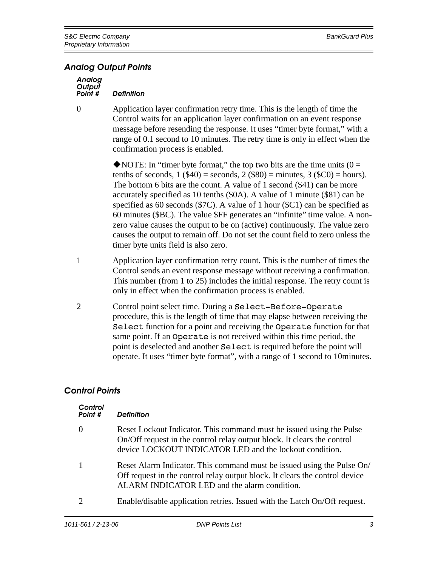### *Analog Output Points*

| Analog  |                   |
|---------|-------------------|
| Output  |                   |
| Point # | <b>Definition</b> |

0 Application layer confirmation retry time. This is the length of time the Control waits for an application layer confirmation on an event response message before resending the response. It uses "timer byte format," with a range of 0.1 second to 10 minutes. The retry time is only in effect when the confirmation process is enabled.

> $\triangle$ NOTE: In "timer byte format," the top two bits are the time units (0 = tenths of seconds,  $1$  (\$40) = seconds,  $2$  (\$80) = minutes,  $3$  (\$C0) = hours). The bottom 6 bits are the count. A value of 1 second (\$41) can be more accurately specified as 10 tenths (\$0A). A value of 1 minute (\$81) can be specified as 60 seconds (\$7C). A value of 1 hour (\$C1) can be specified as 60 minutes (\$BC). The value \$FF generates an "infinite" time value. A nonzero value causes the output to be on (active) continuously. The value zero causes the output to remain off. Do not set the count field to zero unless the timer byte units field is also zero.

- 1 Application layer confirmation retry count. This is the number of times the Control sends an event response message without receiving a confirmation. This number (from 1 to 25) includes the initial response. The retry count is only in effect when the confirmation process is enabled.
- 2 Control point select time. During a Select-Before-Operate procedure, this is the length of time that may elapse between receiving the Select function for a point and receiving the Operate function for that same point. If an Operate is not received within this time period, the point is deselected and another Select is required before the point will operate. It uses "timer byte format", with a range of 1 second to 10minutes.

## *Control Points*

| Control<br>Point #          | <b>Definition</b>                                                                                                                                                                                          |
|-----------------------------|------------------------------------------------------------------------------------------------------------------------------------------------------------------------------------------------------------|
| $\Omega$                    | Reset Lockout Indicator. This command must be issued using the Pulse<br>On/Off request in the control relay output block. It clears the control<br>device LOCKOUT INDICATOR LED and the lockout condition. |
| 1                           | Reset Alarm Indicator. This command must be issued using the Pulse On/<br>Off request in the control relay output block. It clears the control device<br>ALARM INDICATOR LED and the alarm condition.      |
| $\mathcal{D}_{\mathcal{L}}$ | Enable/disable application retries. Issued with the Latch On/Off request.                                                                                                                                  |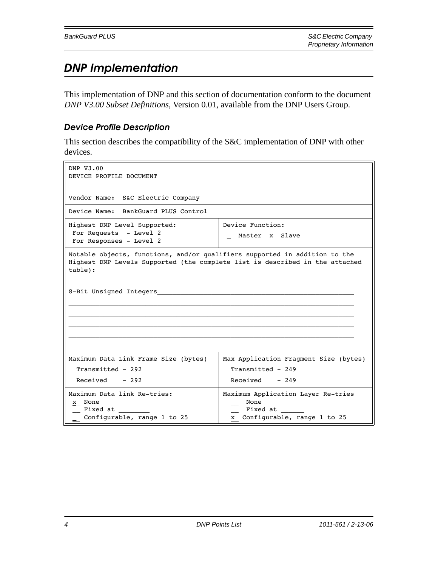# *DNP Implementation*

This implementation of DNP and this section of documentation conform to the document *DNP V3.00 Subset Definitions*, Version 0.01, available from the DNP Users Group.

# *Device Profile Description*

This section describes the compatibility of the S&C implementation of DNP with other devices.

| DNP V3.00<br>DEVICE PROFILE DOCUMENT                                                                                                                                  |                                                                                         |  |  |  |
|-----------------------------------------------------------------------------------------------------------------------------------------------------------------------|-----------------------------------------------------------------------------------------|--|--|--|
| Vendor Name: S&C Electric Company                                                                                                                                     |                                                                                         |  |  |  |
| Device Name: BankGuard PLUS Control                                                                                                                                   |                                                                                         |  |  |  |
| Highest DNP Level Supported:<br>For Requests - Level 2<br>For Responses - Level 2                                                                                     | Device Function:<br>Master x Slave                                                      |  |  |  |
| Notable objects, functions, and/or qualifiers supported in addition to the<br>Highest DNP Levels Supported (the complete list is described in the attached<br>table): |                                                                                         |  |  |  |
| 8-Bit Unsigned Integers                                                                                                                                               |                                                                                         |  |  |  |
| Maximum Data Link Frame Size (bytes)                                                                                                                                  | Max Application Fragment Size (bytes)                                                   |  |  |  |
| Transmitted - 292                                                                                                                                                     | Transmitted - 249                                                                       |  |  |  |
| Received - 292                                                                                                                                                        | $Received - 249$                                                                        |  |  |  |
| Maximum Data link Re-tries:<br>x None<br>Fixed at<br>Configurable, range 1 to 25                                                                                      | Maximum Application Layer Re-tries<br>None<br>Fixed at<br>x Configurable, range 1 to 25 |  |  |  |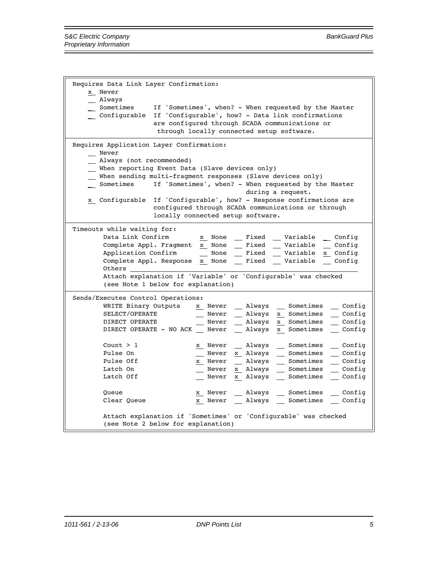Requires Data Link Layer Confirmation: x\_ Never \_\_ Always Sometimes If 'Sometimes', when? - When requested by the Master \_ Configurable If 'Configurable', how? - Data link confirmations are configured through SCADA communications or through locally connected setup software. Requires Application Layer Confirmation: \_\_ Never \_\_ Always (not recommended) \_\_ When reporting Event Data (Slave devices only) \_\_ When sending multi-fragment responses (Slave devices only) \_ Sometimes If 'Sometimes', when? - When requested by the Master during a request. x Configurable If 'Configurable', how? - Response confirmations are configured through SCADA communications or through locally connected setup software. Timeouts while waiting for: Data Link Confirm x None \_\_ Fixed \_\_ Variable \_ Config Complete Appl. Fragment x None \_\_ Fixed \_\_ Variable \_\_ Config Application Confirm \_\_ None \_\_ Fixed \_\_ Variable x Config Complete Appl. Response x None \_\_ Fixed \_\_ Variable \_\_ Config Others  $\overline{\phantom{a}}$  Attach explanation if 'Variable' or 'Configurable' was checked (see Note 1 below for explanation) Sends/Executes Control Operations: WRITE Binary Outputs x Never \_\_ Always \_\_ Sometimes \_\_ Config SELECT/OPERATE \_\_ Never \_\_ Always x Sometimes \_\_ Config DIRECT OPERATE \_\_ Never \_\_ Always x Sometimes \_\_ Config DIRECT OPERATE - NO ACK \_\_ Never \_\_ Always x Sometimes \_\_ Config Count > 1  $\frac{x}{2}$  Never \_ Always \_ Sometimes \_ Config Pulse On \_\_ Never x Always \_\_ Sometimes \_\_ Config Pulse Off  $\frac{x}{2}$  Never \_\_ Always \_\_ Sometimes \_\_ Config Latch On \_\_ Never x Always \_\_ Sometimes \_\_ Config Latch Off \_\_ Never x Always \_\_ Sometimes \_\_ Config Queue  $\underline{x}$  Never Always Sometimes Config Clear Queue  $\begin{array}{cccc}\nx & \text{Never} & \text{Always} & \text{Sometimes} & \text{Config}\n\end{array}$  Attach explanation if 'Sometimes' or 'Configurable' was checked (see Note 2 below for explanation)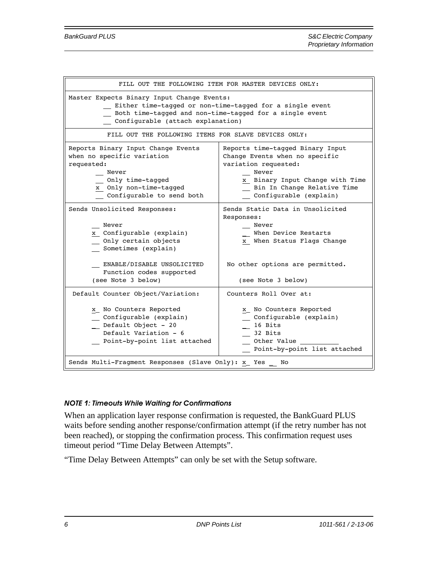| FILL OUT THE FOLLOWING ITEM FOR MASTER DEVICES ONLY:                                                                                                                                                   |                                                                                                                                                                                                 |  |  |  |
|--------------------------------------------------------------------------------------------------------------------------------------------------------------------------------------------------------|-------------------------------------------------------------------------------------------------------------------------------------------------------------------------------------------------|--|--|--|
| Master Expects Binary Input Change Events:<br>Either time-tagged or non-time-tagged for a single event<br>Both time-tagged and non-time-tagged for a single event<br>Configurable (attach explanation) |                                                                                                                                                                                                 |  |  |  |
| FILL OUT THE FOLLOWING ITEMS FOR SLAVE DEVICES ONLY:                                                                                                                                                   |                                                                                                                                                                                                 |  |  |  |
| Reports Binary Input Change Events<br>when no specific variation<br>requested:<br>Never<br>Only time-tagged<br>x Only non-time-tagged<br>Configurable to send both                                     | Reports time-tagged Binary Input<br>Change Events when no specific<br>variation requested:<br>Never<br>x Binary Input Change with Time<br>Bin In Change Relative Time<br>Configurable (explain) |  |  |  |
| Sends Unsolicited Responses:<br>Never<br>x Configurable (explain)<br>_ Only certain objects<br>Sometimes (explain)                                                                                     | Sends Static Data in Unsolicited<br>Responses:<br>Never<br>When Device Restarts<br>x When Status Flags Change                                                                                   |  |  |  |
| ENABLE/DISABLE UNSOLICITED<br>Function codes supported<br>(see Note 3 below)                                                                                                                           | No other options are permitted.<br>(see Note 3 below)                                                                                                                                           |  |  |  |
| Default Counter Object/Variation:                                                                                                                                                                      | Counters Roll Over at:                                                                                                                                                                          |  |  |  |
| x No Counters Reported<br>Configurable (explain)<br>Default Object - 20<br>Default Variation - 6<br>Point-by-point list attached                                                                       | x No Counters Reported<br>Configurable (explain)<br>16 Bits<br>32 Bits<br>Other Value<br>Point-by-point list attached                                                                           |  |  |  |
| Sends Multi-Fragment Responses (Slave Only): x Yes No                                                                                                                                                  |                                                                                                                                                                                                 |  |  |  |

### *NOTE 1: Timeouts While Waiting for Confirmations*

When an application layer response confirmation is requested, the BankGuard PLUS waits before sending another response/confirmation attempt (if the retry number has not been reached), or stopping the confirmation process. This confirmation request uses timeout period "Time Delay Between Attempts".

"Time Delay Between Attempts" can only be set with the Setup software.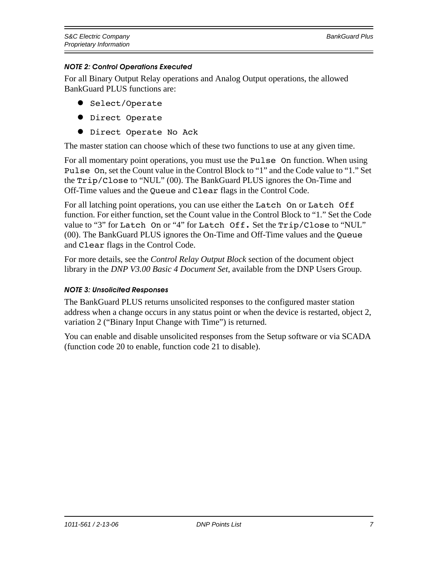### *NOTE 2: Control Operations Executed*

For all Binary Output Relay operations and Analog Output operations, the allowed BankGuard PLUS functions are:

- Select/Operate
- **•** Direct Operate
- **•** Direct Operate No Ack

The master station can choose which of these two functions to use at any given time.

For all momentary point operations, you must use the Pulse On function. When using Pulse On, set the Count value in the Control Block to "1" and the Code value to "1." Set the Trip/Close to "NUL" (00). The BankGuard PLUS ignores the On-Time and Off-Time values and the Queue and Clear flags in the Control Code.

For all latching point operations, you can use either the Latch On or Latch Off function. For either function, set the Count value in the Control Block to "1." Set the Code value to "3" for Latch On or "4" for Latch Off. Set the Trip/Close to "NUL" (00). The BankGuard PLUS ignores the On-Time and Off-Time values and the Queue and Clear flags in the Control Code.

For more details, see the *Control Relay Output Block* section of the document object library in the *DNP V3.00 Basic 4 Document Set*, available from the DNP Users Group.

### *NOTE 3: Unsolicited Responses*

The BankGuard PLUS returns unsolicited responses to the configured master station address when a change occurs in any status point or when the device is restarted, object 2, variation 2 ("Binary Input Change with Time") is returned.

You can enable and disable unsolicited responses from the Setup software or via SCADA (function code 20 to enable, function code 21 to disable).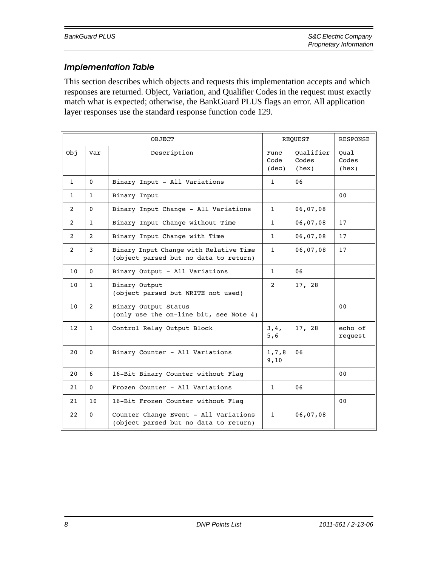### *Implementation Table*

This section describes which objects and requests this implementation accepts and which responses are returned. Object, Variation, and Qualifier Codes in the request must exactly match what is expected; otherwise, the BankGuard PLUS flags an error. All application layer responses use the standard response function code 129.

| OBJECT            |                | <b>REQUEST</b>                                                                  |                       | <b>RESPONSE</b>             |                        |
|-------------------|----------------|---------------------------------------------------------------------------------|-----------------------|-----------------------------|------------------------|
| .<br>Obj          | Var            | Description                                                                     | Func<br>Code<br>(dec) | Oualifier<br>Codes<br>(hex) | Oual<br>Codes<br>(hex) |
| $\mathbf{1}$      | 0              | Binary Input - All Variations                                                   | $\mathbf{1}$          | 06                          |                        |
| $\mathbf{1}$      | $\mathbf{1}$   | Binary Input                                                                    |                       |                             | 00                     |
| 2                 | $\mathbf{0}$   | Binary Input Change - All Variations                                            | $\mathbf{1}$          | 06,07,08                    |                        |
| 2                 | $\mathbf{1}$   | Binary Input Change without Time                                                | $\mathbf{1}$          | 06,07,08                    | 17                     |
| $\mathcal{L}$     | $\overline{2}$ | Binary Input Change with Time                                                   | $\mathbf{1}$          | 06,07,08                    | 17                     |
| $\overline{2}$    | 3              | Binary Input Change with Relative Time<br>(object parsed but no data to return) | $\mathbf{1}$          | 06,07,08                    | 17                     |
| 10                | $\Omega$       | Binary Output - All Variations                                                  | $\mathbf{1}$          | 06                          |                        |
| 10                | $\mathbf{1}$   | Binary Output<br>(object parsed but WRITE not used)                             | 2                     | 17, 28                      |                        |
| 10 <sup>°</sup>   | 2              | Binary Output Status<br>(only use the on-line bit, see Note 4)                  |                       |                             | 00                     |
| $12 \overline{ }$ | $\mathbf{1}$   | Control Relay Output Block                                                      | 3,4,<br>5,6           | 17, 28                      | echo of<br>request     |
| 20                | 0              | Binary Counter - All Variations                                                 | 1,7,8<br>9,10         | 06                          |                        |
| 20                | 6              | 16-Bit Binary Counter without Flag                                              |                       |                             | 00                     |
| 21                | 0              | Frozen Counter - All Variations                                                 | 1                     | 06                          |                        |
| 21                | 10             | 16-Bit Frozen Counter without Flaq                                              |                       |                             | 0 <sub>0</sub>         |
| 22                | 0              | Counter Change Event - All Variations<br>(object parsed but no data to return)  | 1                     | 06,07,08                    |                        |